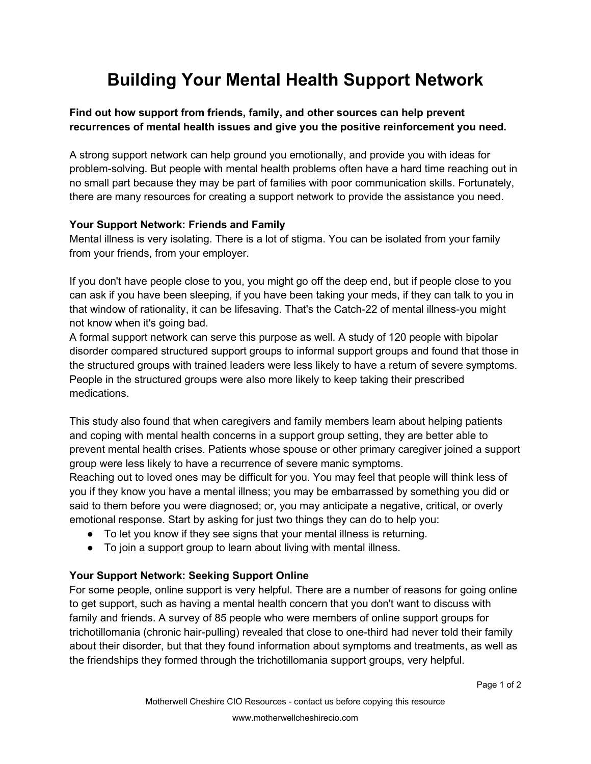# **Building Your Mental Health Support Network**

## **Find out how support from friends, family, and other sources can help prevent recurrences of mental health issues and give you the positive reinforcement you need.**

A strong support network can help ground you emotionally, and provide you with ideas for problem-solving. But people with mental health problems often have a hard time reaching out in no small part because they may be part of families with poor communication skills. Fortunately, there are many resources for creating a support network to provide the assistance you need.

#### **Your Support Network: Friends and Family**

Mental illness is very isolating. There is a lot of stigma. You can be isolated from your family from your friends, from your employer.

If you don't have people close to you, you might go off the deep end, but if people close to you can ask if you have been sleeping, if you have been taking your meds, if they can talk to you in that window of rationality, it can be lifesaving. That's the Catch-22 of mental illness-you might not know when it's going bad.

A formal support network can serve this purpose as well. A study of 120 people with bipolar disorder compared structured support groups to informal support groups and found that those in the structured groups with trained leaders were less likely to have a return of severe symptoms. People in the structured groups were also more likely to keep taking their prescribed medications.

This study also found that when caregivers and family members learn about helping patients and coping with mental health concerns in a support group setting, they are better able to prevent mental health crises. Patients whose spouse or other primary caregiver joined a support group were less likely to have a recurrence of severe manic symptoms.

Reaching out to loved ones may be difficult for you. You may feel that people will think less of you if they know you have a mental illness; you may be embarrassed by something you did or said to them before you were diagnosed; or, you may anticipate a negative, critical, or overly emotional response. Start by asking for just two things they can do to help you:

- To let you know if they see signs that your mental illness is returning.
- To join a support group to learn about living with mental illness.

## **Your Support Network: Seeking Support Online**

For some people, online support is very helpful. There are a number of reasons for going online to get support, such as having a mental health concern that you don't want to discuss with family and friends. A survey of 85 people who were members of online support groups for trichotillomania (chronic hair-pulling) revealed that close to one-third had never told their family about their disorder, but that they found information about symptoms and treatments, as well as the friendships they formed through the trichotillomania support groups, very helpful.